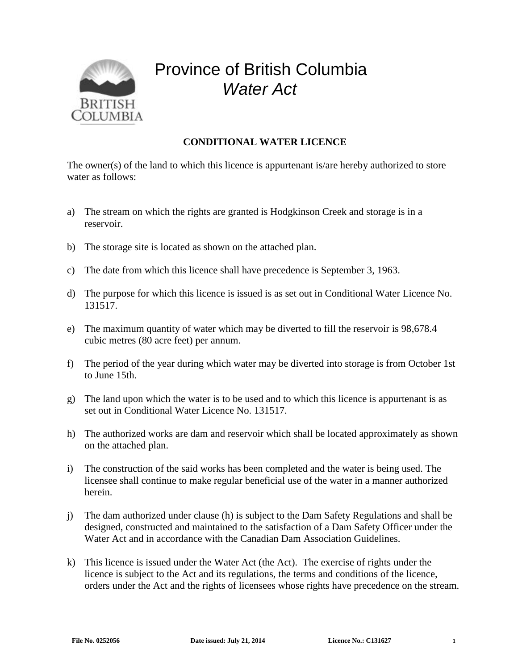

## Province of British Columbia *Water Act*

## **CONDITIONAL WATER LICENCE**

The owner(s) of the land to which this licence is appurtenant is/are hereby authorized to store water as follows:

- a) The stream on which the rights are granted is Hodgkinson Creek and storage is in a reservoir.
- b) The storage site is located as shown on the attached plan.
- c) The date from which this licence shall have precedence is September 3, 1963.
- d) The purpose for which this licence is issued is as set out in Conditional Water Licence No. 131517.
- e) The maximum quantity of water which may be diverted to fill the reservoir is 98,678.4 cubic metres (80 acre feet) per annum.
- f) The period of the year during which water may be diverted into storage is from October 1st to June 15th.
- g) The land upon which the water is to be used and to which this licence is appurtenant is as set out in Conditional Water Licence No. 131517.
- h) The authorized works are dam and reservoir which shall be located approximately as shown on the attached plan.
- i) The construction of the said works has been completed and the water is being used. The licensee shall continue to make regular beneficial use of the water in a manner authorized herein.
- j) The dam authorized under clause (h) is subject to the Dam Safety Regulations and shall be designed, constructed and maintained to the satisfaction of a Dam Safety Officer under the Water Act and in accordance with the Canadian Dam Association Guidelines.
- k) This licence is issued under the Water Act (the Act). The exercise of rights under the licence is subject to the Act and its regulations, the terms and conditions of the licence, orders under the Act and the rights of licensees whose rights have precedence on the stream.